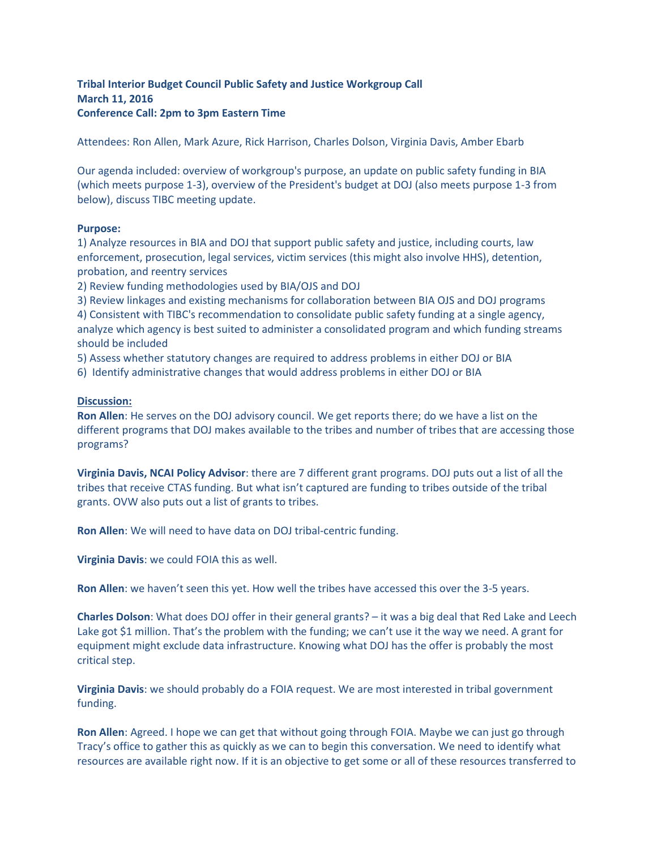## **Tribal Interior Budget Council Public Safety and Justice Workgroup Call March 11, 2016 Conference Call: 2pm to 3pm Eastern Time**

Attendees: Ron Allen, Mark Azure, Rick Harrison, Charles Dolson, Virginia Davis, Amber Ebarb

Our agenda included: overview of workgroup's purpose, an update on public safety funding in BIA (which meets purpose 1-3), overview of the President's budget at DOJ (also meets purpose 1-3 from below), discuss TIBC meeting update.

## **Purpose:**

1) Analyze resources in BIA and DOJ that support public safety and justice, including courts, law enforcement, prosecution, legal services, victim services (this might also involve HHS), detention, probation, and reentry services

2) Review funding methodologies used by BIA/OJS and DOJ

3) Review linkages and existing mechanisms for collaboration between BIA OJS and DOJ programs

4) Consistent with TIBC's recommendation to consolidate public safety funding at a single agency, analyze which agency is best suited to administer a consolidated program and which funding streams should be included

5) Assess whether statutory changes are required to address problems in either DOJ or BIA

6) Identify administrative changes that would address problems in either DOJ or BIA

## **Discussion:**

**Ron Allen**: He serves on the DOJ advisory council. We get reports there; do we have a list on the different programs that DOJ makes available to the tribes and number of tribes that are accessing those programs?

**Virginia Davis, NCAI Policy Advisor**: there are 7 different grant programs. DOJ puts out a list of all the tribes that receive CTAS funding. But what isn't captured are funding to tribes outside of the tribal grants. OVW also puts out a list of grants to tribes.

**Ron Allen**: We will need to have data on DOJ tribal-centric funding.

**Virginia Davis**: we could FOIA this as well.

**Ron Allen**: we haven't seen this yet. How well the tribes have accessed this over the 3-5 years.

**Charles Dolson**: What does DOJ offer in their general grants? – it was a big deal that Red Lake and Leech Lake got \$1 million. That's the problem with the funding; we can't use it the way we need. A grant for equipment might exclude data infrastructure. Knowing what DOJ has the offer is probably the most critical step.

**Virginia Davis**: we should probably do a FOIA request. We are most interested in tribal government funding.

**Ron Allen**: Agreed. I hope we can get that without going through FOIA. Maybe we can just go through Tracy's office to gather this as quickly as we can to begin this conversation. We need to identify what resources are available right now. If it is an objective to get some or all of these resources transferred to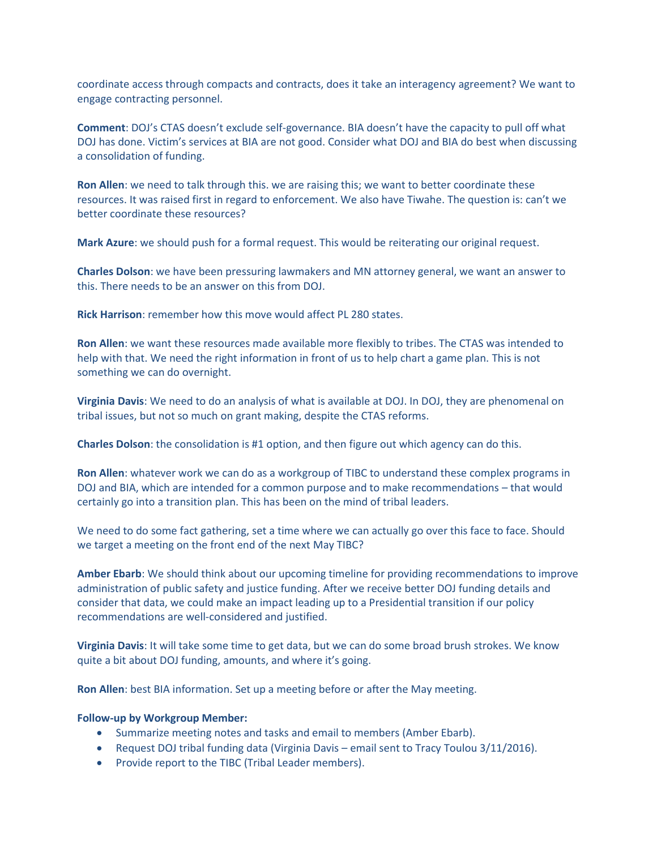coordinate access through compacts and contracts, does it take an interagency agreement? We want to engage contracting personnel.

**Comment**: DOJ's CTAS doesn't exclude self-governance. BIA doesn't have the capacity to pull off what DOJ has done. Victim's services at BIA are not good. Consider what DOJ and BIA do best when discussing a consolidation of funding.

**Ron Allen**: we need to talk through this. we are raising this; we want to better coordinate these resources. It was raised first in regard to enforcement. We also have Tiwahe. The question is: can't we better coordinate these resources?

**Mark Azure**: we should push for a formal request. This would be reiterating our original request.

**Charles Dolson**: we have been pressuring lawmakers and MN attorney general, we want an answer to this. There needs to be an answer on this from DOJ.

**Rick Harrison**: remember how this move would affect PL 280 states.

**Ron Allen**: we want these resources made available more flexibly to tribes. The CTAS was intended to help with that. We need the right information in front of us to help chart a game plan. This is not something we can do overnight.

**Virginia Davis**: We need to do an analysis of what is available at DOJ. In DOJ, they are phenomenal on tribal issues, but not so much on grant making, despite the CTAS reforms.

**Charles Dolson**: the consolidation is #1 option, and then figure out which agency can do this.

**Ron Allen**: whatever work we can do as a workgroup of TIBC to understand these complex programs in DOJ and BIA, which are intended for a common purpose and to make recommendations – that would certainly go into a transition plan. This has been on the mind of tribal leaders.

We need to do some fact gathering, set a time where we can actually go over this face to face. Should we target a meeting on the front end of the next May TIBC?

**Amber Ebarb**: We should think about our upcoming timeline for providing recommendations to improve administration of public safety and justice funding. After we receive better DOJ funding details and consider that data, we could make an impact leading up to a Presidential transition if our policy recommendations are well-considered and justified.

**Virginia Davis**: It will take some time to get data, but we can do some broad brush strokes. We know quite a bit about DOJ funding, amounts, and where it's going.

**Ron Allen**: best BIA information. Set up a meeting before or after the May meeting.

## **Follow-up by Workgroup Member:**

- Summarize meeting notes and tasks and email to members (Amber Ebarb).
- Request DOJ tribal funding data (Virginia Davis email sent to Tracy Toulou 3/11/2016).
- Provide report to the TIBC (Tribal Leader members).